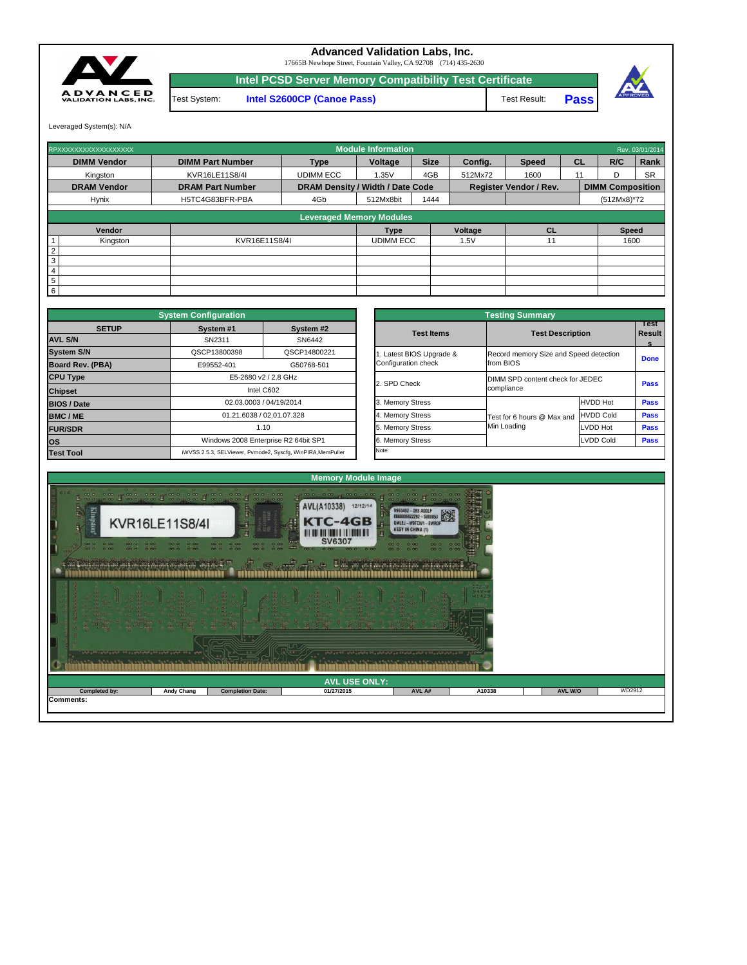|                      |                   | ing the fight state of the state of the state of the state of the state of the state of the state of the state<br>00<br><b>Think the first of the first of the first of the first of the first of the first of the first of the first of the first of the first of the first of the first of the first of the first of the first of the first of the fir</b> |                      | $A$ $B0000$ |        |                |        |
|----------------------|-------------------|--------------------------------------------------------------------------------------------------------------------------------------------------------------------------------------------------------------------------------------------------------------------------------------------------------------------------------------------------------------|----------------------|-------------|--------|----------------|--------|
|                      |                   |                                                                                                                                                                                                                                                                                                                                                              | <b>AVL USE ONLY:</b> |             |        |                |        |
| <b>Completed by:</b> | <b>Andy Chang</b> | <b>Completion Date:</b>                                                                                                                                                                                                                                                                                                                                      | 01/27/2015           | AVL A#      | A10338 | <b>AVL W/O</b> | WD2912 |
| <b>Comments:</b>     |                   |                                                                                                                                                                                                                                                                                                                                                              |                      |             |        |                |        |



|                                                 | <b>Testing Summary</b>                              |                  |                            |
|-------------------------------------------------|-----------------------------------------------------|------------------|----------------------------|
| <b>Test Items</b>                               | <b>Test Description</b>                             |                  | Test<br><b>Result</b><br>s |
| 1. Latest BIOS Upgrade &<br>Configuration check | Record memory Size and Speed detection<br>from BIOS |                  | <b>Done</b>                |
| 2. SPD Check                                    | DIMM SPD content check for JEDEC<br>compliance      |                  | <b>Pass</b>                |
| 3. Memory Stress                                |                                                     | <b>HVDD Hot</b>  | <b>Pass</b>                |
| 4. Memory Stress                                | Test for 6 hours @ Max and                          | <b>HVDD Cold</b> | <b>Pass</b>                |
| 5. Memory Stress                                | Min Loading                                         | <b>LVDD Hot</b>  | <b>Pass</b>                |
| 6. Memory Stress                                |                                                     | <b>LVDD Cold</b> | <b>Pass</b>                |
| Note:                                           |                                                     |                  |                            |

|                 | RPXXXXXXXXXXXXXXXXXX |                         |                                         | <b>Module Information</b> |             |                |                               |    |                         | Rev. 03/01/2014 |
|-----------------|----------------------|-------------------------|-----------------------------------------|---------------------------|-------------|----------------|-------------------------------|----|-------------------------|-----------------|
|                 | <b>DIMM Vendor</b>   | <b>DIMM Part Number</b> | <b>Type</b>                             | Voltage                   | <b>Size</b> | Config.        | <b>Speed</b>                  | CL | R/C                     | Rank            |
|                 | Kingston             | KVR16LE11S8/4I          | <b>UDIMM ECC</b>                        | 1.35V                     | 4GB         | 512Mx72        | 1600                          | 11 | D                       | <b>SR</b>       |
|                 | <b>DRAM Vendor</b>   | <b>DRAM Part Number</b> | <b>DRAM Density / Width / Date Code</b> |                           |             |                | <b>Register Vendor / Rev.</b> |    | <b>DIMM Composition</b> |                 |
|                 | <b>Hynix</b>         | H5TC4G83BFR-PBA         | 4Gb                                     | 512Mx8bit                 | 1444        |                |                               |    | $(512Mx8)*72$           |                 |
|                 |                      |                         |                                         |                           |             |                |                               |    |                         |                 |
|                 |                      |                         | <b>Leveraged Memory Modules</b>         |                           |             |                |                               |    |                         |                 |
|                 | Vendor               |                         |                                         | <b>Type</b>               |             | <b>Voltage</b> | <b>CL</b>                     |    | <b>Speed</b>            |                 |
|                 | Kingston             | KVR16E11S8/4I           |                                         | <b>UDIMM ECC</b>          |             | 1.5V           | 11                            |    | 1600                    |                 |
| $\overline{2}$  |                      |                         |                                         |                           |             |                |                               |    |                         |                 |
| 3               |                      |                         |                                         |                           |             |                |                               |    |                         |                 |
| $\overline{4}$  |                      |                         |                                         |                           |             |                |                               |    |                         |                 |
| $5\phantom{.0}$ |                      |                         |                                         |                           |             |                |                               |    |                         |                 |
| 6               |                      |                         |                                         |                           |             |                |                               |    |                         |                 |

|                         | <b>System Configuration</b> |                                                             |                       | <b>Testing Summary</b>                 |                  |
|-------------------------|-----------------------------|-------------------------------------------------------------|-----------------------|----------------------------------------|------------------|
| <b>SETUP</b>            | System #1                   | System #2                                                   | <b>Test Items</b>     | <b>Test Description</b>                |                  |
| <b>AVL S/N</b>          | SN2311                      | SN6442                                                      |                       |                                        |                  |
| <b>System S/N</b>       | QSCP13800398                | QSCP14800221                                                | Latest BIOS Upgrade & | Record memory Size and Speed detection |                  |
| <b>Board Rev. (PBA)</b> | E99552-401                  | G50768-501                                                  | Configuration check   | from BIOS                              |                  |
| <b>CPU Type</b>         |                             | E5-2680 v2 / 2.8 GHz                                        | 2. SPD Check          | DIMM SPD content check for JEDEC       |                  |
| <b>Chipset</b>          |                             | Intel C602                                                  |                       | compliance                             |                  |
| <b>BIOS / Date</b>      |                             | 02.03.0003 / 04/19/2014                                     | 3. Memory Stress      |                                        | <b>HVDD Hot</b>  |
| <b>BMC/ME</b>           |                             | 01.21.6038 / 02.01.07.328                                   | 4. Memory Stress      | Test for 6 hours @ Max and             | <b>HVDD Cold</b> |
| <b>FUR/SDR</b>          |                             | 1.10                                                        | 5. Memory Stress      | Min Loading                            | LVDD Hot         |
| <b>OS</b>               |                             | Windows 2008 Enterprise R2 64bit SP1                        | 6. Memory Stress      |                                        | LVDD Cold        |
| <b>Test Tool</b>        |                             | iWVSS 2.5.3, SELViewer, Pvmode2, Syscfg, WinPIRA, MemPuller | Note:                 |                                        |                  |

Test System: **Intel S2600CP (Canoe Pass)**



## **Advanced Validation Labs, Inc.**

**Pass** Test Result:



17665B Newhope Street, Fountain Valley, CA 92708 (714) 435-2630

Leveraged System(s): N/A

**Intel PCSD Server Memory Compatibility Test Certificate**